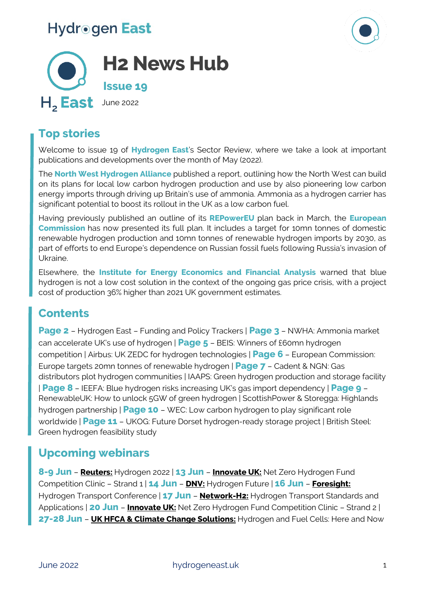



### **Top stories**

Welcome to issue 19 of **Hydrogen East**'s Sector Review, where we take a look at important publications and developments over the month of May (2022).

The **North West Hydrogen Alliance** published a report, outlining how the North West can build on its plans for local low carbon hydrogen production and use by also pioneering low carbon energy imports through driving up Britain's use of ammonia. Ammonia as a hydrogen carrier has significant potential to boost its rollout in the UK as a low carbon fuel.

Having previously published an outline of its **REPowerEU** plan back in March, the **European Commission** has now presented its full plan. It includes a target for 10mn tonnes of domestic renewable hydrogen production and 10mn tonnes of renewable hydrogen imports by 2030, as part of efforts to end Europe's dependence on Russian fossil fuels following Russia's invasion of Ukraine.

Elsewhere, the **Institute for Energy Economics and Financial Analysis** warned that blue hydrogen is not a low cost solution in the context of the ongoing gas price crisis, with a project cost of production 36% higher than 2021 UK government estimates.

### **Contents**

**Page 2** – Hydrogen East – Funding and Policy Trackers | **Page 3** – NWHA: Ammonia market can accelerate UK's use of hydrogen | **Page 5** – BEIS: Winners of £60mn hydrogen competition | Airbus: UK ZEDC for hydrogen technologies | **Page 6** – European Commission: Europe targets 20mn tonnes of renewable hydrogen | **Page 7** – Cadent & NGN: Gas distributors plot hydrogen communities | IAAPS: Green hydrogen production and storage facility | **Page 8** – IEEFA: Blue hydrogen risks increasing UK's gas import dependency | **Page 9** – RenewableUK: How to unlock 5GW of green hydrogen | ScottishPower & Storegga: Highlands hydrogen partnership | **Page 10** – WEC: Low carbon hydrogen to play significant role worldwide | **Page 11** – UKOG: Future Dorset hydrogen-ready storage project | British Steel: Green hydrogen feasibility study

### **Upcoming webinars**

**8-9 Jun** – **[Reuters:](https://events.reutersevents.com/renewable-energy/hydrogen-europe)** Hydrogen 2022 | **13 Jun** – **[Innovate UK:](https://web-eur.cvent.com/event/56f3e180-b613-4139-8aa1-59e7db7314a5/summary)** Net Zero Hydrogen Fund Competition Clinic – Strand 1 | **14 Jun** – **[DNV:](https://www.dnv.com/events/hydrogen-future-224804?utm_campaign=GR_GLOB_22Q2_WBNR_Hydrogen_Future_virtual_event_01&utm_medium=email&utm_source=Eloqua)** Hydrogen Future | **16 Jun** – **[Foresight:](https://www.foresight.events/hydrogen-transport)** Hydrogen Transport Conference | **17 Jun** – **[Network-H2:](https://www.eventbrite.co.uk/e/network-h2-webinar-hydrogen-transport-standards-and-applications-tickets-344653687457?aff=ebdssbonlinesearch)** Hydrogen Transport Standards and Applications | **20 Jun** – **[Innovate UK:](https://web-eur.cvent.com/event/56f3e180-b613-4139-8aa1-59e7db7314a5/summary)** Net Zero Hydrogen Fund Competition Clinic – Strand 2 | **27-28 Jun** – **[UK HFCA & Climate Change Solutions:](https://www.climate-change-solutions.co.uk/event/hydrogen-and-fuel-cells-here-and-now/#1611137060174-4e8b9ee0-1e51)** Hydrogen and Fuel Cells: Here and Now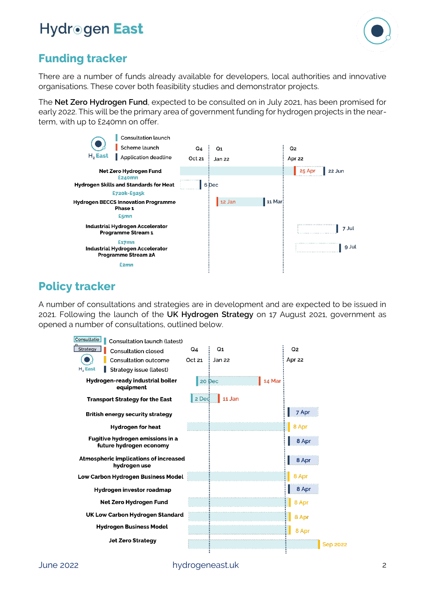

### **Funding tracker**

There are a number of funds already available for developers, local authorities and innovative organisations. These cover both feasibility studies and demonstrator projects.

The **Net Zero Hydrogen Fund**, expected to be consulted on in July 2021, has been promised for early 2022. This will be the primary area of government funding for hydrogen projects in the nearterm, with up to £240mn on offer.



### **Policy tracker**

A number of consultations and strategies are in development and are expected to be issued in 2021. Following the launch of the **UK Hydrogen Strategy** on 17 August 2021, government as opened a number of consultations, outlined below.

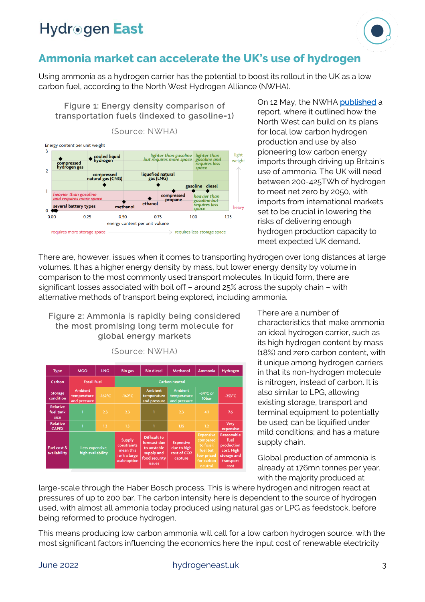

#### **Ammonia market can accelerate the UK's use of hydrogen**

Using ammonia as a hydrogen carrier has the potential to boost its rollout in the UK as a low carbon fuel, according to the North West Hydrogen Alliance (NWHA).

Figure 1: Energy density comparison of transportation fuels (indexed to gasoline=1)



On 12 May, the NWHA [published](https://www.nwhydrogenalliance.co.uk/news-stories/new-report-reveals-ammonia-market-could-accelerate-hydrogen-use-in-the-uk/) a report, where it outlined how the North West can build on its plans for local low carbon hydrogen production and use by also pioneering low carbon energy imports through driving up Britain's use of ammonia. The UK will need between 200-425TWh of hydrogen to meet net zero by 2050, with imports from international markets set to be crucial in lowering the risks of delivering enough hydrogen production capacity to meet expected UK demand.

There are, however, issues when it comes to transporting hydrogen over long distances at large volumes. It has a higher energy density by mass, but lower energy density by volume in comparison to the most commonly used transport molecules. In liquid form, there are significant losses associated with boil off – around 25% across the supply chain – with alternative methods of transport being explored, including ammonia.

#### Figure 2: Ammonia is rapidly being considered the most promising long term molecule for global energy markets

| <b>Type</b>                          | <b>MGO</b>                                    | <b>LNG</b>       | <b>Bio gas</b>                                                                    | <b>Bio diesel</b>                                                                                  | <b>Methanol</b>                                                       | Ammonia                                                                                      | Hydrogen                                                                           |
|--------------------------------------|-----------------------------------------------|------------------|-----------------------------------------------------------------------------------|----------------------------------------------------------------------------------------------------|-----------------------------------------------------------------------|----------------------------------------------------------------------------------------------|------------------------------------------------------------------------------------|
| Carbon                               | <b>Fossil Fuel</b>                            |                  | Carbon neutral                                                                    |                                                                                                    |                                                                       |                                                                                              |                                                                                    |
| <b>Storage</b><br>condition          | <b>Ambient</b><br>temperature<br>and pressure | $-162^{\circ}$ C | $-162^{\circ}$ C                                                                  | <b>Ambient</b><br>temperature<br>and pressure                                                      | <b>Ambient</b><br>temperature<br>and pressure                         | $-34^{\circ}$ C or<br>10bar                                                                  | $-253^{\circ}$ C                                                                   |
| <b>Relative</b><br>fuel tank<br>size | ٦                                             | 2.3              | 2.3                                                                               |                                                                                                    | 2.3                                                                   | 4.1                                                                                          | 7.6                                                                                |
| <b>Relative</b><br><b>CAPEX</b>      | 1                                             | 1.3              | 1.3                                                                               |                                                                                                    | 1.15                                                                  | 1.2                                                                                          | <b>Very</b><br>expensive                                                           |
| Fuel cost &<br>availability          | Less expensive,<br>high availability          |                  | <b>Supply</b><br><b>constraints</b><br>mean this<br>isn't a large<br>scale option | <b>Difficult to</b><br>forecast due<br>to unstable<br>supply and<br>food security<br><i>issues</i> | <b>Expensive</b><br>due to high<br>cost of CO <sub>2</sub><br>capture | <b>Expensive</b><br>compared<br>to fossil<br>fuel but<br>low priced<br>for carbon<br>neutral | Reasonable<br>fuel<br>production<br>cost. High<br>storage and<br>transport<br>cost |

(Source: NWHA)

There are a number of characteristics that make ammonia an ideal hydrogen carrier, such as its high hydrogen content by mass (18%) and zero carbon content, with it unique among hydrogen carriers in that its non-hydrogen molecule is nitrogen, instead of carbon. It is also similar to LPG, allowing existing storage, transport and terminal equipment to potentially be used; can be liquified under mild conditions; and has a mature supply chain.

Global production of ammonia is already at 176mn tonnes per year, with the majority produced at

large-scale through the Haber Bosch process. This is where hydrogen and nitrogen react at pressures of up to 200 bar. The carbon intensity here is dependent to the source of hydrogen used, with almost all ammonia today produced using natural gas or LPG as feedstock, before being reformed to produce hydrogen.

This means producing low carbon ammonia will call for a low carbon hydrogen source, with the most significant factors influencing the economics here the input cost of renewable electricity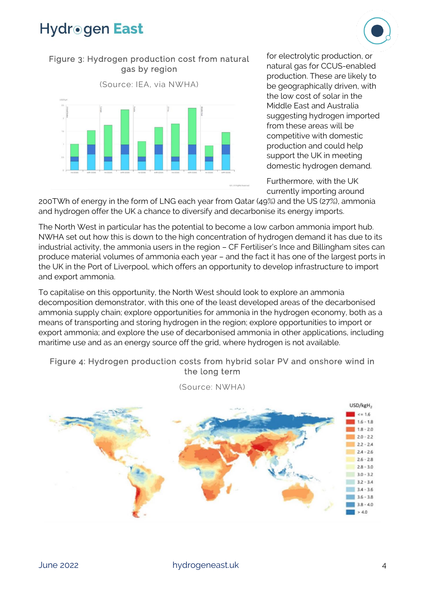

#### Figure 3: Hydrogen production cost from natural gas by region



for electrolytic production, or natural gas for CCUS-enabled production. These are likely to be geographically driven, with the low cost of solar in the Middle East and Australia suggesting hydrogen imported from these areas will be competitive with domestic production and could help support the UK in meeting domestic hydrogen demand.

Furthermore, with the UK currently importing around

200TWh of energy in the form of LNG each year from Qatar (49%) and the US (27%), ammonia and hydrogen offer the UK a chance to diversify and decarbonise its energy imports.

The North West in particular has the potential to become a low carbon ammonia import hub. NWHA set out how this is down to the high concentration of hydrogen demand it has due to its industrial activity, the ammonia users in the region – CF Fertiliser's Ince and Billingham sites can produce material volumes of ammonia each year – and the fact it has one of the largest ports in the UK in the Port of Liverpool, which offers an opportunity to develop infrastructure to import and export ammonia.

To capitalise on this opportunity, the North West should look to explore an ammonia decomposition demonstrator, with this one of the least developed areas of the decarbonised ammonia supply chain; explore opportunities for ammonia in the hydrogen economy, both as a means of transporting and storing hydrogen in the region; explore opportunities to import or export ammonia; and explore the use of decarbonised ammonia in other applications, including maritime use and as an energy source off the grid, where hydrogen is not available.

#### Figure 4: Hydrogen production costs from hybrid solar PV and onshore wind in the long term



(Source: NWHA)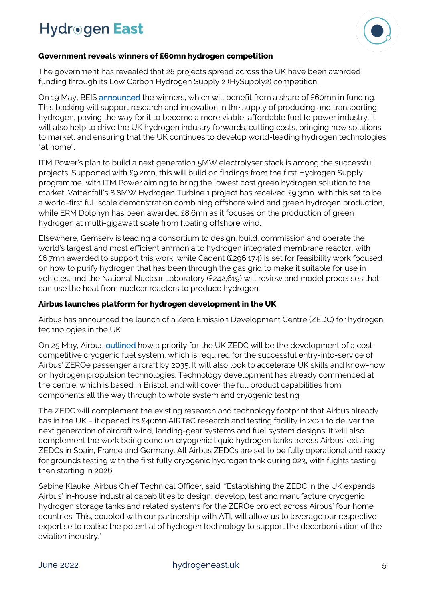

#### **Government reveals winners of £60mn hydrogen competition**

The government has revealed that 28 projects spread across the UK have been awarded funding through its Low Carbon Hydrogen Supply 2 (HySupply2) competition.

On 19 May, BEIS **announced** the winners, which will benefit from a share of £60mn in funding. This backing will support research and innovation in the supply of producing and transporting hydrogen, paving the way for it to become a more viable, affordable fuel to power industry. It will also help to drive the UK hydrogen industry forwards, cutting costs, bringing new solutions to market, and ensuring that the UK continues to develop world-leading hydrogen technologies "at home".

ITM Power's plan to build a next generation 5MW electrolyser stack is among the successful projects. Supported with £9.2mn, this will build on findings from the first Hydrogen Supply programme, with ITM Power aiming to bring the lowest cost green hydrogen solution to the market. Vattenfall's 8.8MW Hydrogen Turbine 1 project has received £9.3mn, with this set to be a world-first full scale demonstration combining offshore wind and green hydrogen production, while ERM Dolphyn has been awarded £8.6mn as it focuses on the production of green hydrogen at multi-gigawatt scale from floating offshore wind.

Elsewhere, Gemserv is leading a consortium to design, build, commission and operate the world's largest and most efficient ammonia to hydrogen integrated membrane reactor, with £6.7mn awarded to support this work, while Cadent (£296,174) is set for feasibility work focused on how to purify hydrogen that has been through the gas grid to make it suitable for use in vehicles, and the National Nuclear Laboratory (£242,619) will review and model processes that can use the heat from nuclear reactors to produce hydrogen.

#### **Airbus launches platform for hydrogen development in the UK**

Airbus has announced the launch of a Zero Emission Development Centre (ZEDC) for hydrogen technologies in the UK.

On 25 May, Airbus **outlined** how a priority for the UK ZEDC will be the development of a costcompetitive cryogenic fuel system, which is required for the successful entry-into-service of Airbus' ZEROe passenger aircraft by 2035. It will also look to accelerate UK skills and know-how on hydrogen propulsion technologies. Technology development has already commenced at the centre, which is based in Bristol, and will cover the full product capabilities from components all the way through to whole system and cryogenic testing.

The ZEDC will complement the existing research and technology footprint that Airbus already has in the UK – it opened its £40mn AIRTeC research and testing facility in 2021 to deliver the next generation of aircraft wind, landing-gear systems and fuel system designs. It will also complement the work being done on cryogenic liquid hydrogen tanks across Airbus' existing ZEDCs in Spain, France and Germany. All Airbus ZEDCs are set to be fully operational and ready for grounds testing with the first fully cryogenic hydrogen tank during 023, with flights testing then starting in 2026.

Sabine Klauke, Airbus Chief Technical Officer, said: "Establishing the ZEDC in the UK expands Airbus' in-house industrial capabilities to design, develop, test and manufacture cryogenic hydrogen storage tanks and related systems for the ZEROe project across Airbus' four home countries. This, coupled with our partnership with ATI, will allow us to leverage our respective expertise to realise the potential of hydrogen technology to support the decarbonisation of the aviation industry."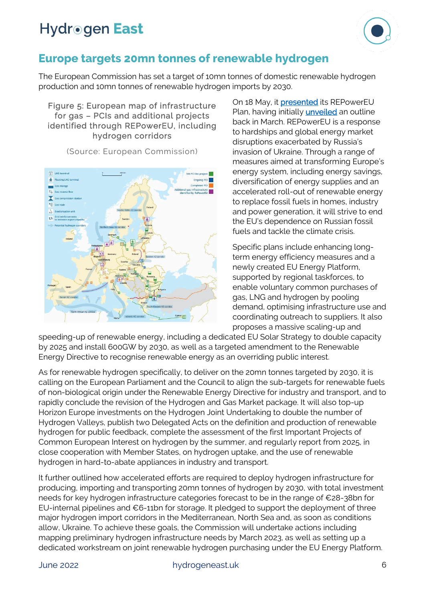

### **Europe targets 20mn tonnes of renewable hydrogen**

The European Commission has set a target of 10mn tonnes of domestic renewable hydrogen production and 10mn tonnes of renewable hydrogen imports by 2030.

Figure 5: European map of infrastructure for gas – PCIs and additional projects identified through REPowerEU, including hydrogen corridors



(Source: European Commission)

On 18 May, it **presented** its REPowerEU Plan, having initially **unveiled** an outline back in March. REPowerEU is a response to hardships and global energy market disruptions exacerbated by Russia's invasion of Ukraine. Through a range of measures aimed at transforming Europe's energy system, including energy savings, diversification of energy supplies and an accelerated roll-out of renewable energy to replace fossil fuels in homes, industry and power generation, it will strive to end the EU's dependence on Russian fossil fuels and tackle the climate crisis.

Specific plans include enhancing longterm energy efficiency measures and a newly created EU Energy Platform, supported by regional taskforces, to enable voluntary common purchases of gas, LNG and hydrogen by pooling demand, optimising infrastructure use and coordinating outreach to suppliers. It also proposes a massive scaling-up and

speeding-up of renewable energy, including a dedicated EU Solar Strategy to double capacity by 2025 and install 600GW by 2030, as well as a targeted amendment to the Renewable Energy Directive to recognise renewable energy as an overriding public interest.

As for renewable hydrogen specifically, to deliver on the 20mn tonnes targeted by 2030, it is calling on the European Parliament and the Council to align the sub-targets for renewable fuels of non-biological origin under the Renewable Energy Directive for industry and transport, and to rapidly conclude the revision of the Hydrogen and Gas Market package. It will also top-up Horizon Europe investments on the Hydrogen Joint Undertaking to double the number of Hydrogen Valleys, publish two Delegated Acts on the definition and production of renewable hydrogen for public feedback, complete the assessment of the first Important Projects of Common European Interest on hydrogen by the summer, and regularly report from 2025, in close cooperation with Member States, on hydrogen uptake, and the use of renewable hydrogen in hard-to-abate appliances in industry and transport.

It further outlined how accelerated efforts are required to deploy hydrogen infrastructure for producing, importing and transporting 20mn tonnes of hydrogen by 2030, with total investment needs for key hydrogen infrastructure categories forecast to be in the range of €28-38bn for EU-internal pipelines and €6-11bn for storage. It pledged to support the deployment of three major hydrogen import corridors in the Mediterranean, North Sea and, as soon as conditions allow, Ukraine. To achieve these goals, the Commission will undertake actions including mapping preliminary hydrogen infrastructure needs by March 2023, as well as setting up a dedicated workstream on joint renewable hydrogen purchasing under the EU Energy Platform.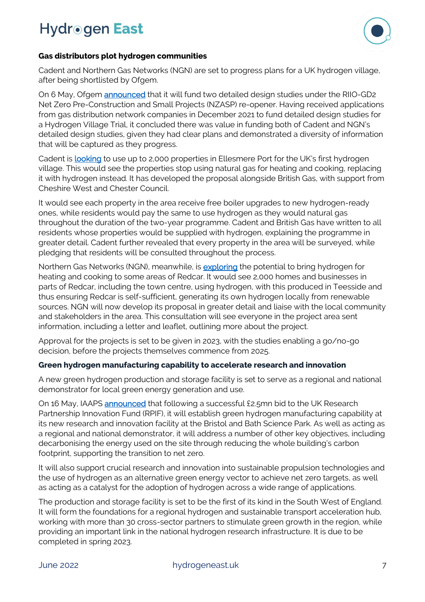

#### **Gas distributors plot hydrogen communities**

Cadent and Northern Gas Networks (NGN) are set to progress plans for a UK hydrogen village, after being shortlisted by Ofgem.

On 6 May, Ofgem **announced** that it will fund two detailed design studies under the RIIO-GD2 Net Zero Pre-Construction and Small Projects (NZASP) re-opener. Having received applications from gas distribution network companies in December 2021 to fund detailed design studies for a Hydrogen Village Trial, it concluded there was value in funding both of Cadent and NGN's detailed design studies, given they had clear plans and demonstrated a diversity of information that will be captured as they progress.

Cadent is **looking** to use up to 2,000 properties in Ellesmere Port for the UK's first hydrogen village. This would see the properties stop using natural gas for heating and cooking, replacing it with hydrogen instead. It has developed the proposal alongside British Gas, with support from Cheshire West and Chester Council.

It would see each property in the area receive free boiler upgrades to new hydrogen-ready ones, while residents would pay the same to use hydrogen as they would natural gas throughout the duration of the two-year programme. Cadent and British Gas have written to all residents whose properties would be supplied with hydrogen, explaining the programme in greater detail. Cadent further revealed that every property in the area will be surveyed, while pledging that residents will be consulted throughout the process.

Northern Gas Networks (NGN), meanwhile, is **exploring** the potential to bring hydrogen for heating and cooking to some areas of Redcar. It would see 2,000 homes and businesses in parts of Redcar, including the town centre, using hydrogen, with this produced in Teesside and thus ensuring Redcar is self-sufficient, generating its own hydrogen locally from renewable sources. NGN will now develop its proposal in greater detail and liaise with the local community and stakeholders in the area. This consultation will see everyone in the project area sent information, including a letter and leaflet, outlining more about the project.

Approval for the projects is set to be given in 2023, with the studies enabling a go/no-go decision, before the projects themselves commence from 2025.

#### **Green hydrogen manufacturing capability to accelerate research and innovation**

A new green hydrogen production and storage facility is set to serve as a regional and national demonstrator for local green energy generation and use.

On 16 May, IAAPS [announced](https://iaaps.co.uk/news/iaaps-accelerates-its-hydrogen-research-and-innovation/) that following a successful £2.5mn bid to the UK Research Partnership Innovation Fund (RPIF), it will establish green hydrogen manufacturing capability at its new research and innovation facility at the Bristol and Bath Science Park. As well as acting as a regional and national demonstrator, it will address a number of other key objectives, including decarbonising the energy used on the site through reducing the whole building's carbon footprint, supporting the transition to net zero.

It will also support crucial research and innovation into sustainable propulsion technologies and the use of hydrogen as an alternative green energy vector to achieve net zero targets, as well as acting as a catalyst for the adoption of hydrogen across a wide range of applications.

The production and storage facility is set to be the first of its kind in the South West of England. It will form the foundations for a regional hydrogen and sustainable transport acceleration hub, working with more than 30 cross-sector partners to stimulate green growth in the region, while providing an important link in the national hydrogen research infrastructure. It is due to be completed in spring 2023.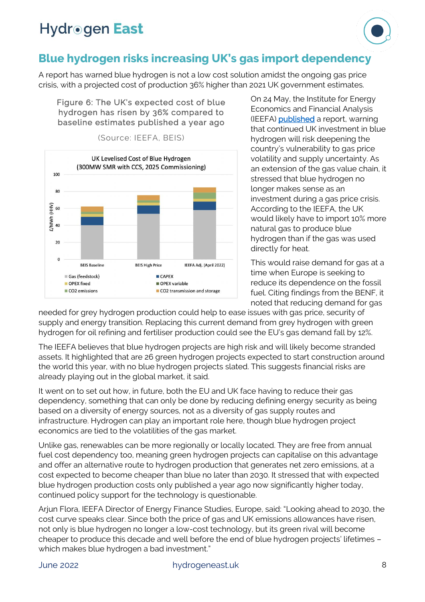

### **Blue hydrogen risks increasing UK's gas import dependency**

A report has warned blue hydrogen is not a low cost solution amidst the ongoing gas price crisis, with a projected cost of production 36% higher than 2021 UK government estimates.

Figure 6: The UK's expected cost of blue hydrogen has risen by 36% compared to baseline estimates published a year ago



(Source: IEEFA, BEIS)

On 24 May, the Institute for Energy Economics and Financial Analysis (IEEFA) [published](https://ieefa.org/articles/ieefa-europe-blue-hydrogen-costs-36-higher-uks-2021-estimate-would-increase-gas-import) a report, warning that continued UK investment in blue hydrogen will risk deepening the country's vulnerability to gas price volatility and supply uncertainty. As an extension of the gas value chain, it stressed that blue hydrogen no longer makes sense as an investment during a gas price crisis. According to the IEEFA, the UK would likely have to import 10% more natural gas to produce blue hydrogen than if the gas was used directly for heat.

This would raise demand for gas at a time when Europe is seeking to reduce its dependence on the fossil fuel. Citing findings from the BENF, it noted that reducing demand for gas

needed for grey hydrogen production could help to ease issues with gas price, security of supply and energy transition. Replacing this current demand from grey hydrogen with green hydrogen for oil refining and fertiliser production could see the EU's gas demand fall by 12%.

The IEEFA believes that blue hydrogen projects are high risk and will likely become stranded assets. It highlighted that are 26 green hydrogen projects expected to start construction around the world this year, with no blue hydrogen projects slated. This suggests financial risks are already playing out in the global market, it said.

It went on to set out how, in future, both the EU and UK face having to reduce their gas dependency, something that can only be done by reducing defining energy security as being based on a diversity of energy sources, not as a diversity of gas supply routes and infrastructure. Hydrogen can play an important role here, though blue hydrogen project economics are tied to the volatilities of the gas market.

Unlike gas, renewables can be more regionally or locally located. They are free from annual fuel cost dependency too, meaning green hydrogen projects can capitalise on this advantage and offer an alternative route to hydrogen production that generates net zero emissions, at a cost expected to become cheaper than blue no later than 2030. It stressed that with expected blue hydrogen production costs only published a year ago now significantly higher today, continued policy support for the technology is questionable.

Arjun Flora, IEEFA Director of Energy Finance Studies, Europe, said: "Looking ahead to 2030, the cost curve speaks clear. Since both the price of gas and UK emissions allowances have risen, not only is blue hydrogen no longer a low-cost technology, but its green rival will become cheaper to produce this decade and well before the end of blue hydrogen projects' lifetimes – which makes blue hydrogen a bad investment."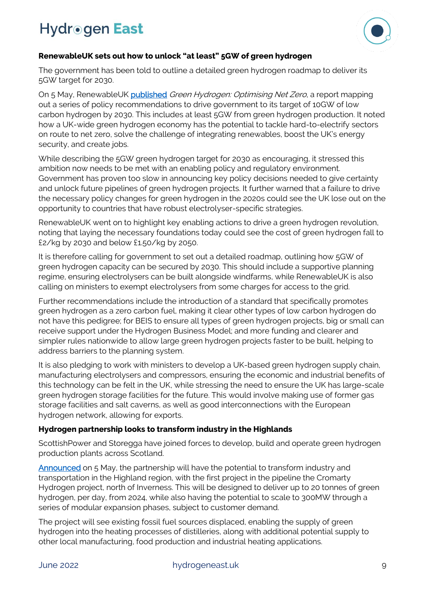

#### **RenewableUK sets out how to unlock "at least" 5GW of green hydrogen**

The government has been told to outline a detailed green hydrogen roadmap to deliver its 5GW target for 2030.

On 5 May, RenewableUK [published](https://www.renewableuk.com/news/604419/New-report-sets-out-key-steps-to-unlocking-at-least-5-gigawatts-of-green-hydrogen.htm) Green Hydrogen: Optimising Net Zero, a report mapping out a series of policy recommendations to drive government to its target of 10GW of low carbon hydrogen by 2030. This includes at least 5GW from green hydrogen production. It noted how a UK-wide green hydrogen economy has the potential to tackle hard-to-electrify sectors on route to net zero, solve the challenge of integrating renewables, boost the UK's energy security, and create jobs.

While describing the 5GW green hydrogen target for 2030 as encouraging, it stressed this ambition now needs to be met with an enabling policy and regulatory environment. Government has proven too slow in announcing key policy decisions needed to give certainty and unlock future pipelines of green hydrogen projects. It further warned that a failure to drive the necessary policy changes for green hydrogen in the 2020s could see the UK lose out on the opportunity to countries that have robust electrolyser-specific strategies.

RenewableUK went on to highlight key enabling actions to drive a green hydrogen revolution, noting that laying the necessary foundations today could see the cost of green hydrogen fall to £2/kg by 2030 and below £1.50/kg by 2050.

It is therefore calling for government to set out a detailed roadmap, outlining how 5GW of green hydrogen capacity can be secured by 2030. This should include a supportive planning regime, ensuring electrolysers can be built alongside windfarms, while RenewableUK is also calling on ministers to exempt electrolysers from some charges for access to the grid.

Further recommendations include the introduction of a standard that specifically promotes green hydrogen as a zero carbon fuel, making it clear other types of low carbon hydrogen do not have this pedigree; for BEIS to ensure all types of green hydrogen projects, big or small can receive support under the Hydrogen Business Model; and more funding and clearer and simpler rules nationwide to allow large green hydrogen projects faster to be built, helping to address barriers to the planning system.

It is also pledging to work with ministers to develop a UK-based green hydrogen supply chain, manufacturing electrolysers and compressors, ensuring the economic and industrial benefits of this technology can be felt in the UK, while stressing the need to ensure the UK has large-scale green hydrogen storage facilities for the future. This would involve making use of former gas storage facilities and salt caverns, as well as good interconnections with the European hydrogen network, allowing for exports.

#### **Hydrogen partnership looks to transform industry in the Highlands**

ScottishPower and Storegga have joined forces to develop, build and operate green hydrogen production plants across Scotland.

[Announced](https://www.scottishpower.com/news/pages/scottishpower_and_storegga_form_green_hydrogen_partnership_to_transform_industry_in_the_highlands.aspx) on 5 May, the partnership will have the potential to transform industry and transportation in the Highland region, with the first project in the pipeline the Cromarty Hydrogen project, north of Inverness. This will be designed to deliver up to 20 tonnes of green hydrogen, per day, from 2024, while also having the potential to scale to 300MW through a series of modular expansion phases, subject to customer demand.

The project will see existing fossil fuel sources displaced, enabling the supply of green hydrogen into the heating processes of distilleries, along with additional potential supply to other local manufacturing, food production and industrial heating applications.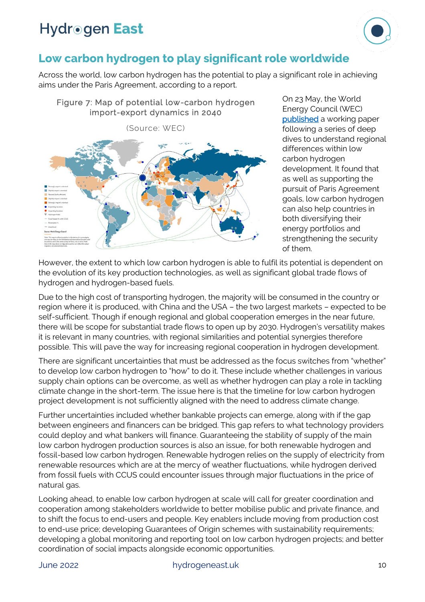

### **Low carbon hydrogen to play significant role worldwide**

Across the world, low carbon hydrogen has the potential to play a significant role in achieving aims under the Paris Agreement, according to a report.



On 23 May, the World Energy Council (WEC) [published](https://www.worldenergy.org/publications/entry/regional-insights-low-carbon-hydrogen-scale-up-world-energy-council) a working paper following a series of deep dives to understand regional differences within low carbon hydrogen development. It found that as well as supporting the pursuit of Paris Agreement goals, low carbon hydrogen can also help countries in both diversifying their energy portfolios and strengthening the security of them.

However, the extent to which low carbon hydrogen is able to fulfil its potential is dependent on the evolution of its key production technologies, as well as significant global trade flows of hydrogen and hydrogen-based fuels.

Due to the high cost of transporting hydrogen, the majority will be consumed in the country or region where it is produced, with China and the USA – the two largest markets – expected to be self-sufficient. Though if enough regional and global cooperation emerges in the near future, there will be scope for substantial trade flows to open up by 2030. Hydrogen's versatility makes it is relevant in many countries, with regional similarities and potential synergies therefore possible. This will pave the way for increasing regional cooperation in hydrogen development.

There are significant uncertainties that must be addressed as the focus switches from "whether" to develop low carbon hydrogen to "how" to do it. These include whether challenges in various supply chain options can be overcome, as well as whether hydrogen can play a role in tackling climate change in the short-term. The issue here is that the timeline for low carbon hydrogen project development is not sufficiently aligned with the need to address climate change.

Further uncertainties included whether bankable projects can emerge, along with if the gap between engineers and financers can be bridged. This gap refers to what technology providers could deploy and what bankers will finance. Guaranteeing the stability of supply of the main low carbon hydrogen production sources is also an issue, for both renewable hydrogen and fossil-based low carbon hydrogen. Renewable hydrogen relies on the supply of electricity from renewable resources which are at the mercy of weather fluctuations, while hydrogen derived from fossil fuels with CCUS could encounter issues through major fluctuations in the price of natural gas.

Looking ahead, to enable low carbon hydrogen at scale will call for greater coordination and cooperation among stakeholders worldwide to better mobilise public and private finance, and to shift the focus to end-users and people. Key enablers include moving from production cost to end-use price; developing Guarantees of Origin schemes with sustainability requirements; developing a global monitoring and reporting tool on low carbon hydrogen projects; and better coordination of social impacts alongside economic opportunities.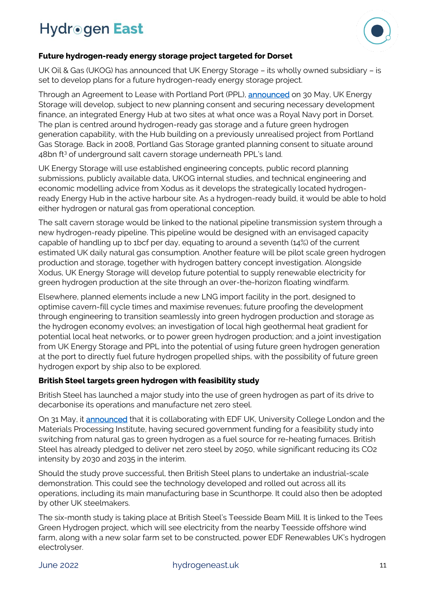

#### **Future hydrogen-ready energy storage project targeted for Dorset**

UK Oil & Gas (UKOG) has announced that UK Energy Storage – its wholly owned subsidiary – is set to develop plans for a future hydrogen-ready energy storage project.

Through an Agreement to Lease with Portland Port (PPL), [announced](https://irpages2.equitystory.com/websites/rns_news/English/1100/news-tool---rns---eqs-group.html?article=32711526&company=ukog) on 30 May, UK Energy Storage will develop, subject to new planning consent and securing necessary development finance, an integrated Energy Hub at two sites at what once was a Royal Navy port in Dorset. The plan is centred around hydrogen-ready gas storage and a future green hydrogen generation capability, with the Hub building on a previously unrealised project from Portland Gas Storage. Back in 2008, Portland Gas Storage granted planning consent to situate around 48bn ft<sup>3</sup> of underground salt cavern storage underneath PPL's land.

UK Energy Storage will use established engineering concepts, public record planning submissions, publicly available data, UKOG internal studies, and technical engineering and economic modelling advice from Xodus as it develops the strategically located hydrogenready Energy Hub in the active harbour site. As a hydrogen-ready build, it would be able to hold either hydrogen or natural gas from operational conception.

The salt cavern storage would be linked to the national pipeline transmission system through a new hydrogen-ready pipeline. This pipeline would be designed with an envisaged capacity capable of handling up to 1bcf per day, equating to around a seventh (14%) of the current estimated UK daily natural gas consumption. Another feature will be pilot scale green hydrogen production and storage, together with hydrogen battery concept investigation. Alongside Xodus, UK Energy Storage will develop future potential to supply renewable electricity for green hydrogen production at the site through an over-the-horizon floating windfarm.

Elsewhere, planned elements include a new LNG import facility in the port, designed to optimise cavern-fill cycle times and maximise revenues; future proofing the development through engineering to transition seamlessly into green hydrogen production and storage as the hydrogen economy evolves; an investigation of local high geothermal heat gradient for potential local heat networks, or to power green hydrogen production; and a joint investigation from UK Energy Storage and PPL into the potential of using future green hydrogen generation at the port to directly fuel future hydrogen propelled ships, with the possibility of future green hydrogen export by ship also to be explored.

#### **British Steel targets green hydrogen with feasibility study**

British Steel has launched a major study into the use of green hydrogen as part of its drive to decarbonise its operations and manufacture net zero steel.

On 31 May, it [announced](https://britishsteel.co.uk/news/british-steel-launches-feasibility-study-into-the-use-of-green-hydrogen/) that it is collaborating with EDF UK, University College London and the Materials Processing Institute, having secured government funding for a feasibility study into switching from natural gas to green hydrogen as a fuel source for re-heating furnaces. British Steel has already pledged to deliver net zero steel by 2050, while significant reducing its CO2 intensity by 2030 and 2035 in the interim.

Should the study prove successful, then British Steel plans to undertake an industrial-scale demonstration. This could see the technology developed and rolled out across all its operations, including its main manufacturing base in Scunthorpe. It could also then be adopted by other UK steelmakers.

The six-month study is taking place at British Steel's Teesside Beam Mill. It is linked to the Tees Green Hydrogen project, which will see electricity from the nearby Teesside offshore wind farm, along with a new solar farm set to be constructed, power EDF Renewables UK's hydrogen electrolyser.